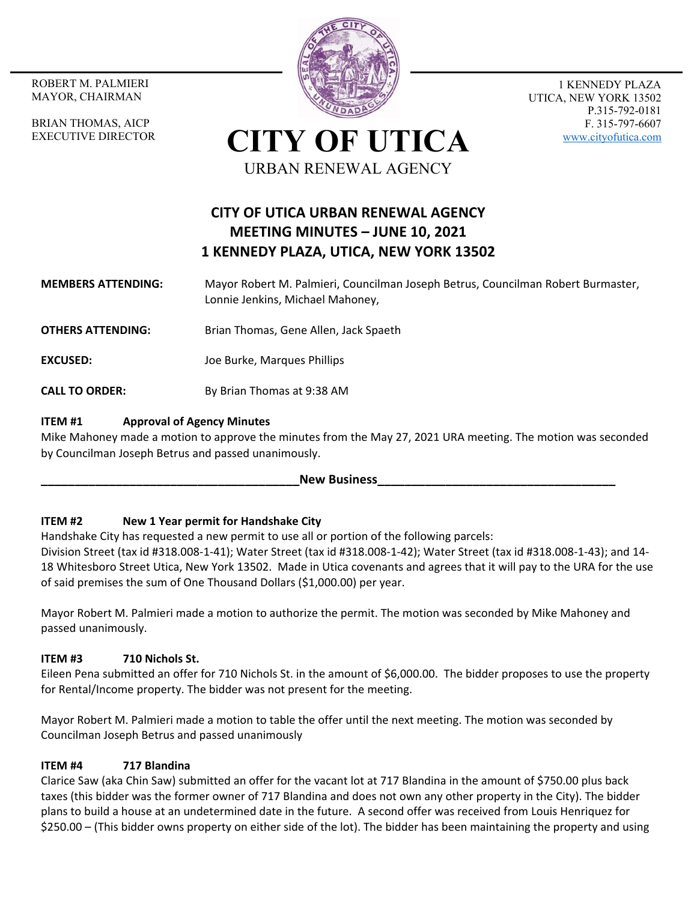MAYOR, CHAIRMAN

BRIAN THOMAS, AICP EXECUTIVE DIRECTOR



1 KENNEDY PLAZA UTICA, NEW YORK 13502 P.315-792-0181 F. 315-797-6607 www.cityofutica.com

**CITY OF UTICA** URBAN RENEWAL AGENCY

# **CITY OF UTICA URBAN RENEWAL AGENCY MEETING MINUTES – JUNE 10, 2021 1 KENNEDY PLAZA, UTICA, NEW YORK 13502**

- **MEMBERS ATTENDING:**  Mayor Robert M. Palmieri, Councilman Joseph Betrus, Councilman Robert Burmaster, Lonnie Jenkins, Michael Mahoney,
- **OTHERS ATTENDING:** Brian Thomas, Gene Allen, Jack Spaeth
- **EXCUSED:**  Joe Burke, Marques Phillips
- **CALL TO ORDER:** By Brian Thomas at 9:38 AM

## **ITEM #1 Approval of Agency Minutes**

Mike Mahoney made a motion to approve the minutes from the May 27, 2021 URA meeting. The motion was seconded by Councilman Joseph Betrus and passed unanimously.

#### New Business

#### **ITEM #2 New 1 Year permit for Handshake City**

Handshake City has requested a new permit to use all or portion of the following parcels:

Division Street (tax id #318.008‐1‐41); Water Street (tax id #318.008‐1‐42); Water Street (tax id #318.008‐1‐43); and 14‐ 18 Whitesboro Street Utica, New York 13502. Made in Utica covenants and agrees that it will pay to the URA for the use of said premises the sum of One Thousand Dollars (\$1,000.00) per year.

Mayor Robert M. Palmieri made a motion to authorize the permit. The motion was seconded by Mike Mahoney and passed unanimously.

#### **ITEM #3 710 Nichols St.**

Eileen Pena submitted an offer for 710 Nichols St. in the amount of \$6,000.00. The bidder proposes to use the property for Rental/Income property. The bidder was not present for the meeting.

Mayor Robert M. Palmieri made a motion to table the offer until the next meeting. The motion was seconded by Councilman Joseph Betrus and passed unanimously

#### **ITEM #4 717 Blandina**

Clarice Saw (aka Chin Saw) submitted an offer for the vacant lot at 717 Blandina in the amount of \$750.00 plus back taxes (this bidder was the former owner of 717 Blandina and does not own any other property in the City). The bidder plans to build a house at an undetermined date in the future. A second offer was received from Louis Henriquez for \$250.00 – (This bidder owns property on either side of the lot). The bidder has been maintaining the property and using